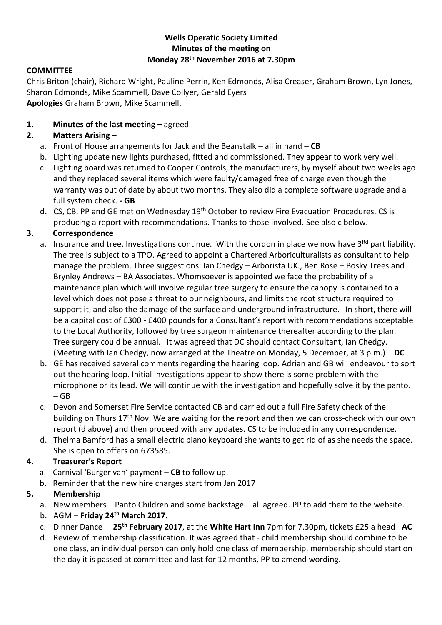## **Wells Operatic Society Limited Minutes of the meeting on Monday 28th November 2016 at 7.30pm**

#### **COMMITTEE**

Chris Briton (chair), Richard Wright, Pauline Perrin, Ken Edmonds, Alisa Creaser, Graham Brown, Lyn Jones, Sharon Edmonds, Mike Scammell, Dave Collyer, Gerald Eyers **Apologies** Graham Brown, Mike Scammell,

#### **1. Minutes of the last meeting –** agreed

## **2. Matters Arising –**

- a. Front of House arrangements for Jack and the Beanstalk all in hand **CB**
- b. Lighting update new lights purchased, fitted and commissioned. They appear to work very well.
- c. Lighting board was returned to Cooper Controls, the manufacturers, by myself about two weeks ago and they replaced several items which were faulty/damaged free of charge even though the warranty was out of date by about two months. They also did a complete software upgrade and a full system check. **- GB**
- d. CS, CB, PP and GE met on Wednesday 19<sup>th</sup> October to review Fire Evacuation Procedures. CS is producing a report with recommendations. Thanks to those involved. See also c below.

#### **3. Correspondence**

- a. Insurance and tree. Investigations continue. With the cordon in place we now have 3<sup>Rd</sup> part liability. The tree is subject to a TPO. Agreed to appoint a Chartered Arboriculturalists as consultant to help manage the problem. Three suggestions: Ian Chedgy – Arborista UK., Ben Rose – Bosky Trees and Brynley Andrews – BA Associates. Whomsoever is appointed we face the probability of a maintenance plan which will involve regular tree surgery to ensure the canopy is contained to a level which does not pose a threat to our neighbours, and limits the root structure required to support it, and also the damage of the surface and underground infrastructure. In short, there will be a capital cost of £300 - £400 pounds for a Consultant's report with recommendations acceptable to the Local Authority, followed by tree surgeon maintenance thereafter according to the plan. Tree surgery could be annual. It was agreed that DC should contact Consultant, Ian Chedgy. (Meeting with Ian Chedgy, now arranged at the Theatre on Monday, 5 December, at 3 p.m.) – **DC**
- b. GE has received several comments regarding the hearing loop. Adrian and GB will endeavour to sort out the hearing loop. Initial investigations appear to show there is some problem with the microphone or its lead. We will continue with the investigation and hopefully solve it by the panto.  $-$  GB
- c. Devon and Somerset Fire Service contacted CB and carried out a full Fire Safety check of the building on Thurs 17<sup>th</sup> Nov. We are waiting for the report and then we can cross-check with our own report (d above) and then proceed with any updates. CS to be included in any correspondence.
- d. Thelma Bamford has a small electric piano keyboard she wants to get rid of as she needs the space. She is open to offers on 673585.

## **4. Treasurer's Report**

- a. Carnival 'Burger van' payment **CB** to follow up.
- b. Reminder that the new hire charges start from Jan 2017

# **5. Membership**

- a. New members Panto Children and some backstage all agreed. PP to add them to the website.
- b. AGM **Friday 24th March 2017.**
- c. Dinner Dance **25th February 2017**, at the **White Hart Inn** 7pm for 7.30pm, tickets £25 a head –**AC**
- d. Review of membership classification. It was agreed that child membership should combine to be one class, an individual person can only hold one class of membership, membership should start on the day it is passed at committee and last for 12 months, PP to amend wording.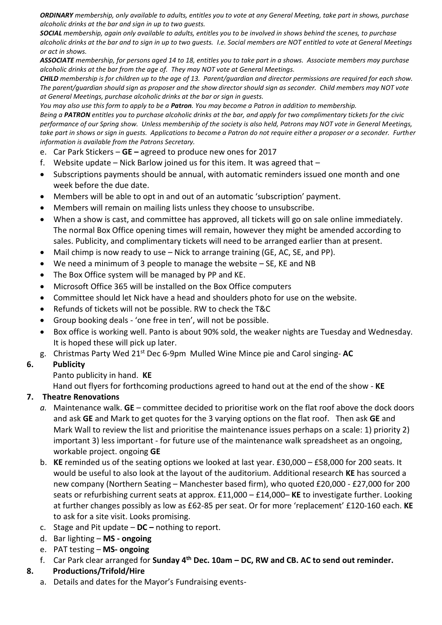*ORDINARY membership, only available to adults, entitles you to vote at any General Meeting, take part in shows, purchase alcoholic drinks at the bar and sign in up to two guests.*

*SOCIAL membership, again only available to adults, entitles you to be involved in shows behind the scenes, to purchase alcoholic drinks at the bar and to sign in up to two guests. I.e. Social members are NOT entitled to vote at General Meetings or act in shows.*

*ASSOCIATE membership, for persons aged 14 to 18, entitles you to take part in a shows. Associate members may purchase alcoholic drinks at the bar from the age of. They may NOT vote at General Meetings.*

*CHILD membership is for children up to the age of 13. Parent/guardian and director permissions are required for each show. The parent/guardian should sign as proposer and the show director should sign as seconder. Child members may NOT vote at General Meetings, purchase alcoholic drinks at the bar or sign in guests.*

*You may also use this form to apply to be a Patron. You may become a Patron in addition to membership.*

*Being a PATRON entitles you to purchase alcoholic drinks at the bar, and apply for two complimentary tickets for the civic performance of our Spring show. Unless membership of the society is also held, Patrons may NOT vote in General Meetings, take part in shows or sign in guests. Applications to become a Patron do not require either a proposer or a seconder. Further information is available from the Patrons Secretary.*

- e. Car Park Stickers **GE –** agreed to produce new ones for 2017
- f. Website update Nick Barlow joined us for this item. It was agreed that  $-$
- Subscriptions payments should be annual, with automatic reminders issued one month and one week before the due date.
- Members will be able to opt in and out of an automatic 'subscription' payment.
- Members will remain on mailing lists unless they choose to unsubscribe.
- When a show is cast, and committee has approved, all tickets will go on sale online immediately. The normal Box Office opening times will remain, however they might be amended according to sales. Publicity, and complimentary tickets will need to be arranged earlier than at present.
- Mail chimp is now ready to use Nick to arrange training (GE, AC, SE, and PP).
- We need a minimum of 3 people to manage the website SE, KE and NB
- The Box Office system will be managed by PP and KE.
- Microsoft Office 365 will be installed on the Box Office computers
- Committee should let Nick have a head and shoulders photo for use on the website.
- Refunds of tickets will not be possible. RW to check the T&C
- Group booking deals 'one free in ten', will not be possible.
- Box office is working well. Panto is about 90% sold, the weaker nights are Tuesday and Wednesday. It is hoped these will pick up later.
- g. Christmas Party Wed 21st Dec 6-9pm Mulled Wine Mince pie and Carol singing- **AC**

## **6. Publicity**

Panto publicity in hand. **KE**

Hand out flyers for forthcoming productions agreed to hand out at the end of the show - **KE**

## **7. Theatre Renovations**

- *a.* Maintenance walk. **GE** *–* committee decided to prioritise work on the flat roof above the dock doors and ask **GE** and Mark to get quotes for the 3 varying options on the flat roof. Then ask **GE** and Mark Wall to review the list and prioritise the maintenance issues perhaps on a scale: 1) priority 2) important 3) less important - for future use of the maintenance walk spreadsheet as an ongoing, workable project. ongoing **GE**
- b. **KE** reminded us of the seating options we looked at last year. £30,000 £58,000 for 200 seats. It would be useful to also look at the layout of the auditorium. Additional research **KE** has sourced a new company (Northern Seating – Manchester based firm), who quoted £20,000 - £27,000 for 200 seats or refurbishing current seats at approx. £11,000 – £14,000– **KE** to investigate further. Looking at further changes possibly as low as £62-85 per seat. Or for more 'replacement' £120-160 each. **KE** to ask for a site visit. Looks promising.
- c. Stage and Pit update **DC –** nothing to report.
- d. Bar lighting **MS - ongoing**
- e. PAT testing **MS- ongoing**
- f. Car Park clear arranged for **Sunday 4th Dec. 10am – DC, RW and CB. AC to send out reminder.**

## **8. Productions/Trifold/Hire**

a. Details and dates for the Mayor's Fundraising events-